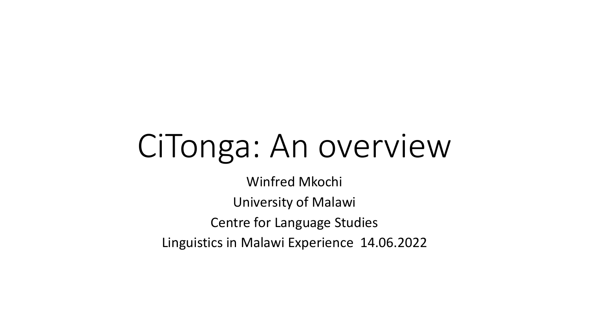# CiTonga: An overview

Winfred Mkochi University of Malawi Centre for Language Studies Linguistics in Malawi Experience 14.06.2022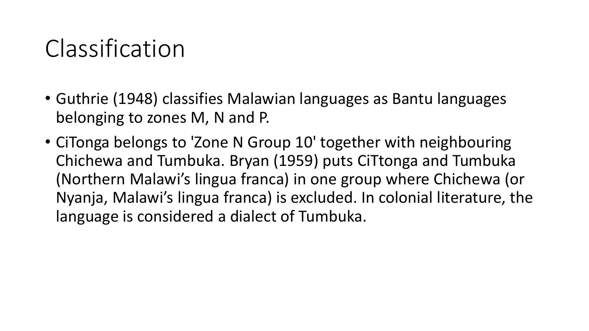### Classification

- Guthrie (1948) classifies Malawian languages as Bantu languages belonging to zones M, N and P.
- CiTonga belongs to 'Zone N Group 10' together with neighbouring Chichewa and Tumbuka. Bryan (1959) puts CiTtonga and Tumbuka (Northern Malawi's lingua franca) in one group where Chichewa (or Nyanja, Malawi's lingua franca) is excluded. In colonial literature, the language is considered a dialect of Tumbuka.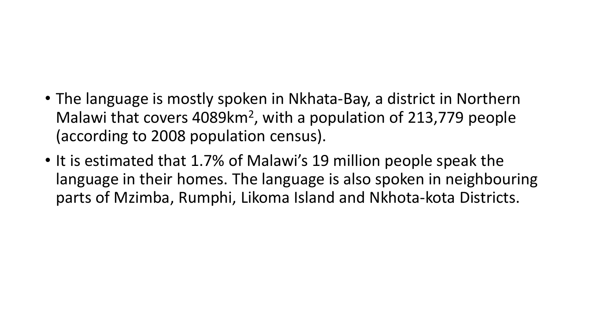#### • The language is mostly spoken in Nkhata-Bay, a district in Northern Malawi that covers 4089km<sup>2</sup>, with a population of 213,779 people (according to 2008 population census).

• It is estimated that 1.7% of Malawi's 19 million people speak the language in their homes. The language is also spoken in neighbouring parts of Mzimba, Rumphi, Likoma Island and Nkhota-kota Districts.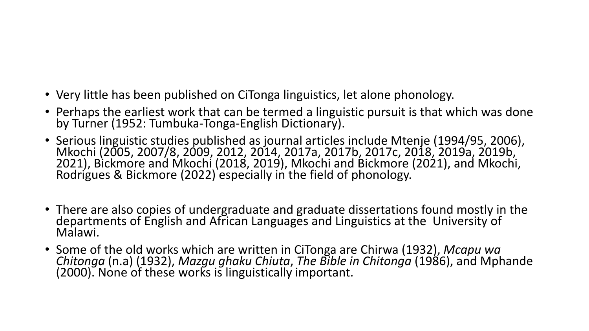- Very little has been published on CiTonga linguistics, let alone phonology.
- Perhaps the earliest work that can be termed a linguistic pursuit is that which was done by Turner (1952: Tumbuka-Tonga-English Dictionary).
- Serious linguistic studies published as journal articles include Mtenje (1994/95, 2006), Mkochi (2005, 2007/8, 2009, 2012, 2014, 2017a, 2017b, 2017c, 2018, 2019a, 2019b, 2021), Bickmore and Mkochi (2018, 2019), Mkochi and Bickmore (2021), and Mkochi, Rodrigues & Bickmore (2022) especially in the field of phonology.
- There are also copies of undergraduate and graduate dissertations found mostly in the departments of English and African Languages and Linguistics at the University of Malawi.
- Some of the old works which are written in CiTonga are Chirwa (1932), *Mcapu wa Chitonga* (n.a) (1932), *Mazgu ghaku Chiuta*, *The Bible in Chitonga* (1986), and Mphande (2000). None of these works is linguistically important.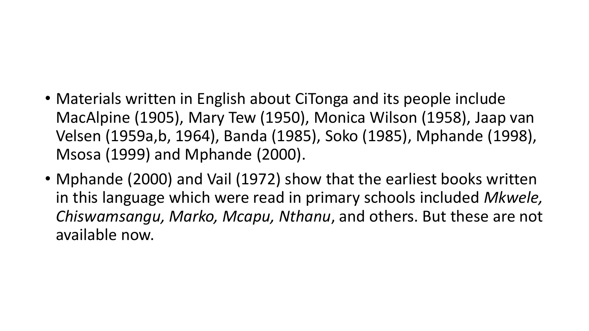- Materials written in English about CiTonga and its people include MacAlpine (1905), Mary Tew (1950), Monica Wilson (1958), Jaap van Velsen (1959a,b, 1964), Banda (1985), Soko (1985), Mphande (1998), Msosa (1999) and Mphande (2000).
- Mphande (2000) and Vail (1972) show that the earliest books written in this language which were read in primary schools included *Mkwele, Chiswamsangu, Marko, Mcapu, Nthanu*, and others. But these are not available now.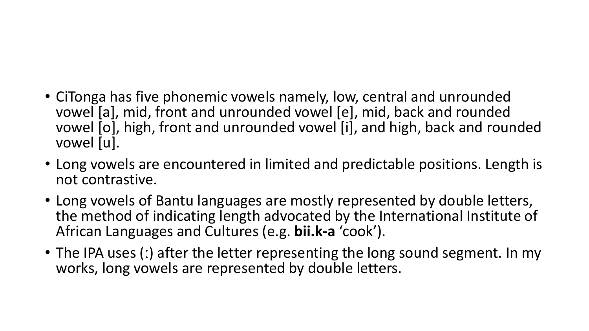#### • CiTonga has five phonemic vowels namely, low, central and unrounded vowel [a], mid, front and unrounded vowel [e], mid, back and rounded vowel [o], high, front and unrounded vowel [i], and high, back and rounded vowel [u].

- Long vowels are encountered in limited and predictable positions. Length is not contrastive.
- Long vowels of Bantu languages are mostly represented by double letters, the method of indicating length advocated by the International Institute of African Languages and Cultures (e.g. **bii.k-a** 'cook').
- The IPA uses (:) after the letter representing the long sound segment. In my works, long vowels are represented by double letters.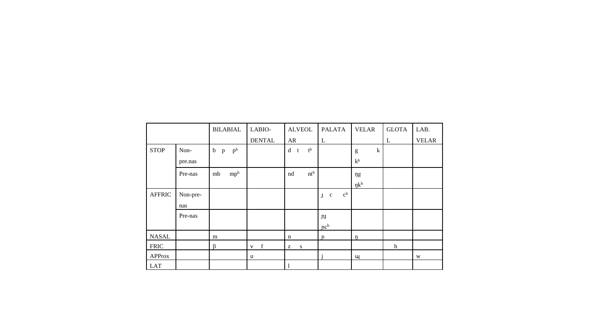|               |          | <b>BILABIAL</b>                               | LABIO-           | <b>ALVEOL</b>         | <b>PALATA</b>                                          | <b>VELAR</b>     | <b>GLOTA</b> | LAB.         |
|---------------|----------|-----------------------------------------------|------------------|-----------------------|--------------------------------------------------------|------------------|--------------|--------------|
|               |          |                                               | <b>DENTAL</b>    | AR                    | L                                                      |                  | L            | <b>VELAR</b> |
| <b>STOP</b>   | Non-     | p <sup>h</sup><br>$\mathbf b$<br>$\, {\bf p}$ |                  | $t^h$<br>d<br>t       |                                                        | $\mathbf k$<br>g |              |              |
|               | pre.nas  |                                               |                  |                       |                                                        | k <sup>h</sup>   |              |              |
|               | Pre-nas  | mp <sup>h</sup><br>$\rm mb$                   |                  | nt <sup>h</sup><br>nd |                                                        | ŋg               |              |              |
|               |          |                                               |                  |                       |                                                        | $\eta k^h$       |              |              |
| <b>AFFRIC</b> | Non-pre- |                                               |                  |                       | $\mathbf{c}^\mathbf{h}$<br>$\mathbf c$<br>$\mathbf{J}$ |                  |              |              |
|               | nas      |                                               |                  |                       |                                                        |                  |              |              |
|               | Pre-nas  |                                               |                  |                       | JIJ                                                    |                  |              |              |
|               |          |                                               |                  |                       | nc <sup>h</sup>                                        |                  |              |              |
| <b>NASAL</b>  |          | m                                             |                  | $\mathbf n$           | $\mathfrak n$                                          | $\eta$           |              |              |
| <b>FRIC</b>   |          | ß                                             | $\mathbf f$<br>V | S<br>Z                |                                                        |                  | $\hbar$      |              |
| <b>APProx</b> |          |                                               | υ                |                       |                                                        | щ                |              | W            |
| <b>LAT</b>    |          |                                               |                  |                       |                                                        |                  |              |              |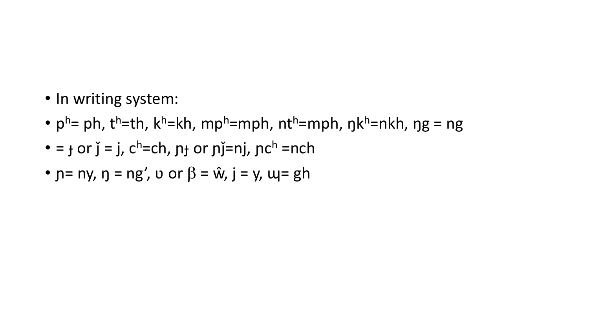- In writing system:
- pʰ= ph, tʰ=th, kʰ=kh, mpʰ=mph, ntʰ=mph, ŋkʰ=nkh, ŋg = ng
- $=$   $\frac{1}{2}$  or  $\frac{1}{2}$  =  $\frac{1}{2}$ , c<sup>h</sup> = ch,  $\frac{1}{2}$  or  $\frac{1}{2}$  = nj,  $\frac{1}{2}$  = nch
- $p = ny$ ,  $p = ng'$ ,  $v$  or  $\beta = \hat{w}$ ,  $j = y$ ,  $w = gh$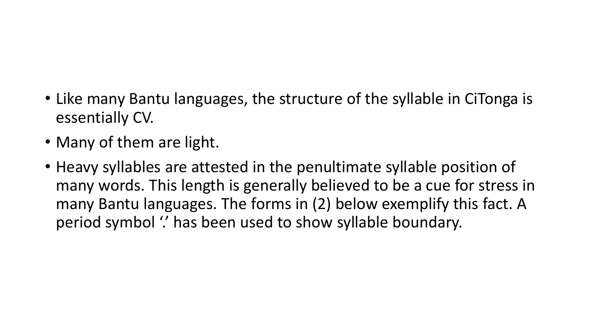- Like many Bantu languages, the structure of the syllable in CiTonga is essentially CV.
- Many of them are light.
- Heavy syllables are attested in the penultimate syllable position of many words. This length is generally believed to be a cue for stress in many Bantu languages. The forms in (2) below exemplify this fact. A period symbol " has been used to show syllable boundary.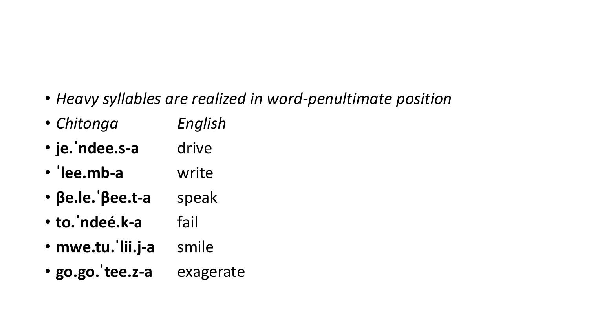- *Heavy syllables are realized in word-penultimate position*
- *Chitonga English*
- je.'ndee.s-a drive
- **ˈlee.mb-a** write
- **βe.le.ˈβee.t-a** speak
- **to.ˈndeé.k-a** fail
- **mwe.tu.ˈlii.j-a** smile
- **go.go.ˈtee.z-a** exagerate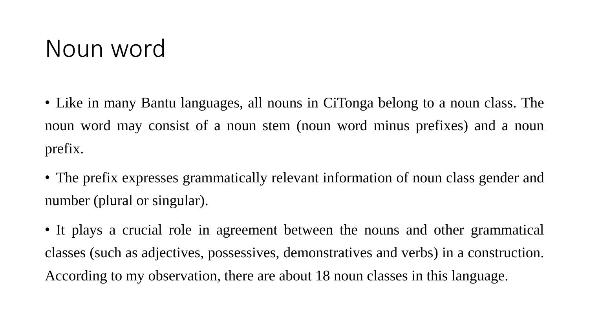#### Noun word

• Like in many Bantu languages, all nouns in CiTonga belong to a noun class. The noun word may consist of a noun stem (noun word minus prefixes) and a noun prefix.

• The prefix expresses grammatically relevant information of noun class gender and number (plural or singular).

• It plays a crucial role in agreement between the nouns and other grammatical classes (such as adjectives, possessives, demonstratives and verbs) in a construction. According to my observation, there are about 18 noun classes in this language.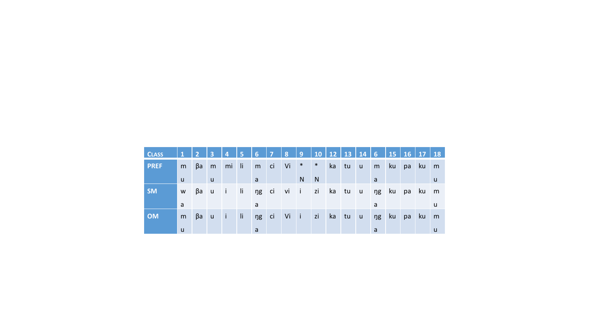| <b>CLASS</b> | $\mathbf{1}$ | $\overline{2}$ | <b>TB</b>      | 14.          | $\vert 5 \vert$ | 6  | $\overline{7}$ |           |                |            |       |    |              |    |      |          |    |   |
|--------------|--------------|----------------|----------------|--------------|-----------------|----|----------------|-----------|----------------|------------|-------|----|--------------|----|------|----------|----|---|
| <b>PREF</b>  | m            | βa             | m              | mi           | -li-            | m  | ci             | Vi        | $\ast$         | $*$        | ka    | tu | $\mathsf{u}$ | m  | ku J | pa       | ku | m |
|              | <b>u</b>     |                | $\mathsf{u}$   |              |                 | a  |                |           | N              | N          |       |    |              | a  |      |          |    | u |
| <b>SM</b>    | W            | βa             | $\overline{u}$ | $\mathbf{I}$ | li ng           |    | ci             | $vi$ $i$  |                | zi ka tu u |       |    |              | ng |      | ku pa ku |    | m |
|              | a            |                |                |              |                 | a  |                |           |                |            |       |    |              | a  |      |          |    | u |
| <b>OM</b>    | m            | βa             | $\mathsf{u}$   | $\mathbf{I}$ | li.             | ŋg | ci             | <b>Vi</b> | $\blacksquare$ | zi         | ka tu |    | $\mathsf{u}$ | ng | ku 7 | pa       | ku | m |
|              | u            |                |                |              |                 | a  |                |           |                |            |       |    |              | a  |      |          |    | u |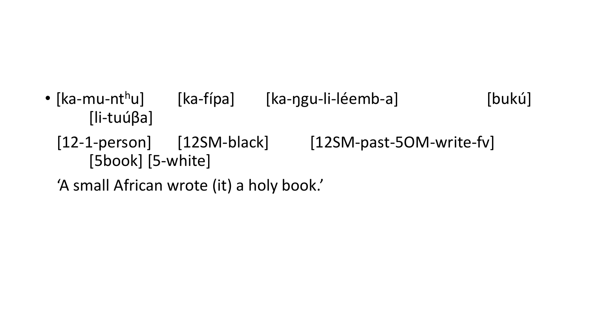- [ka-mu-nt<sup>h</sup>u] [ka-fípa] [ka-ŋgu-li-léemb-a] [bukú] [li-tuúβa]
	- [12-1-person] [12SM-black] [12SM-past-5OM-write-fv] [5book] [5-white]
	- 'A small African wrote (it) a holy book.'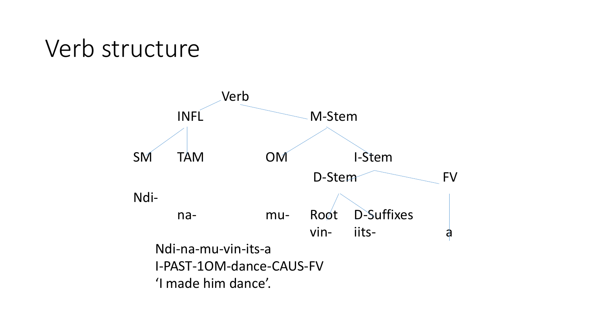#### Verb structure

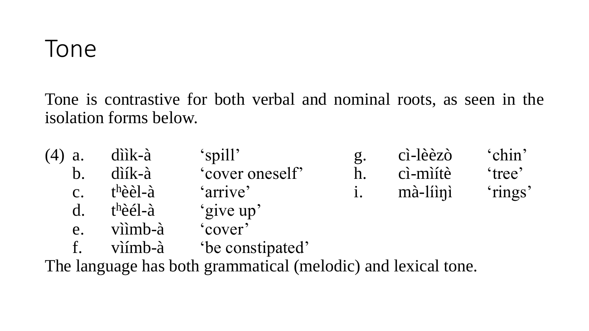#### Tone

Tone is contrastive for both verbal and nominal roots, as seen in the isolation forms below.

|               | $(4)$ a. diik-à | 'spill'         | $\mathfrak{g}.$ | cì-lèèzò    | 'chin' |
|---------------|-----------------|-----------------|-----------------|-------------|--------|
|               | $b.$ diík-à     | 'cover oneself' |                 | ci-miítè    | 'tree' |
| $C_{\bullet}$ | thèèl-à         | 'arrive'        |                 | i. mà-líini | rings' |
|               | d. $t^h$ èél-à  | 'give up'       |                 |             |        |

- e. vììmb-à 'cover'
- f. vìímb-à 'be constipated'

The language has both grammatical (melodic) and lexical tone.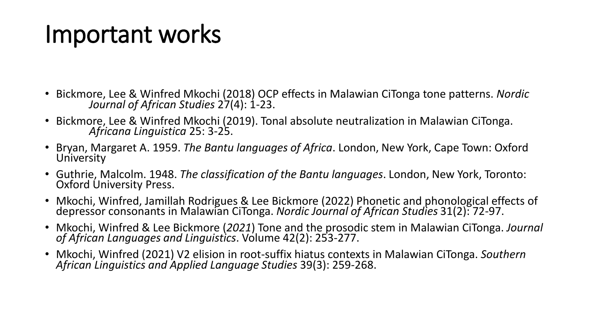## Important works

- Bickmore, Lee & Winfred Mkochi (2018) OCP effects in Malawian CiTonga tone patterns. *Nordic Journal of African Studies* 27(4): 1-23.
- Bickmore, Lee & Winfred Mkochi (2019). Tonal absolute neutralization in Malawian CiTonga. *Africana Linguistica* 25: 3-25.
- Bryan, Margaret A. 1959. *The Bantu languages of Africa*. London, New York, Cape Town: Oxford University
- Guthrie, Malcolm. 1948. *The classification of the Bantu languages*. London, New York, Toronto: Oxford University Press.
- Mkochi, Winfred, Jamillah Rodrigues & Lee Bickmore (2022) Phonetic and phonological effects of depressor consonants in Malawian CiTonga. *Nordic Journal of African Studies* 31(2): 72-97.
- Mkochi, Winfred & Lee Bickmore (*2021*) Tone and the prosodic stem in Malawian CiTonga. *Journal of African Languages and Linguistics*. Volume 42(2): 253-277.
- Mkochi, Winfred (2021) V2 elision in root-suffix hiatus contexts in Malawian CiTonga. *Southern African Linguistics and Applied Language Studies* 39(3): 259-268.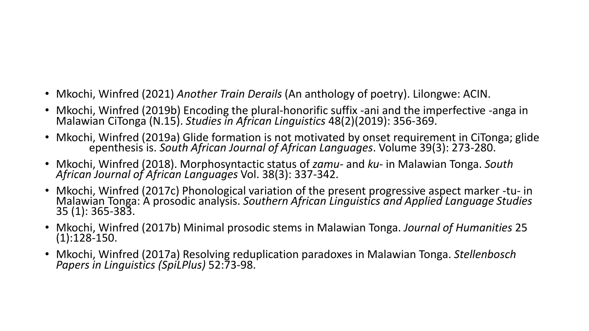- Mkochi, Winfred (2021) *Another Train Derails* (An anthology of poetry). Lilongwe: ACIN.
- Mkochi, Winfred (2019b) Encoding the plural-honorific suffix -ani and the imperfective -anga in Malawian CiTonga (N.15). *Studies in African Linguistics* 48(2)(2019): 356-369.
- Mkochi, Winfred (2019a) Glide formation is not motivated by onset requirement in CiTonga; glide epenthesis is. *South African Journal of African Languages*. Volume 39(3): 273-280.
- Mkochi, Winfred (2018). Morphosyntactic status of *zamu-* and *ku-* in Malawian Tonga. *South African Journal of African Languages* Vol. 38(3): 337-342.
- Mkochi, Winfred (2017c) Phonological variation of the present progressive aspect marker -tu- in Malawian Tonga: A prosodic analysis. *Southern African Linguistics and Applied Language Studies*  35 (1): 365-383.
- Mkochi, Winfred (2017b) Minimal prosodic stems in Malawian Tonga. *Journal of Humanities* 25 (1):128-150.
- Mkochi, Winfred (2017a) Resolving reduplication paradoxes in Malawian Tonga. *Stellenbosch Papers in Linguistics (SpiLPlus)* 52:73-98.